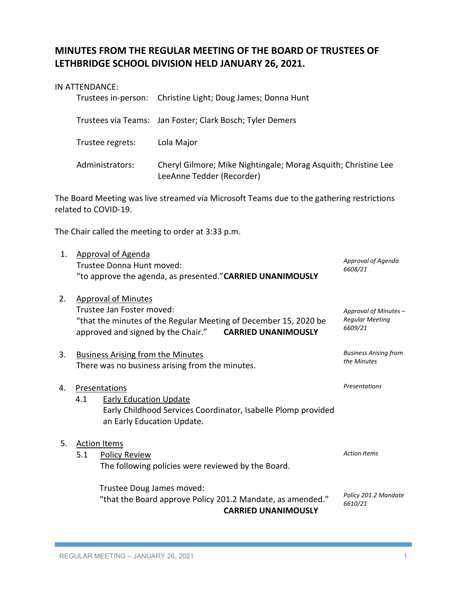# **MINUTES FROM THE REGULAR MEETING OF THE BOARD OF TRUSTEES OF LETHBRIDGE SCHOOL DIVISION HELD JANUARY 26, 2021.**

### IN ATTENDANCE:

|                  | Trustees in-person: Christine Light; Doug James; Donna Hunt                                 |
|------------------|---------------------------------------------------------------------------------------------|
|                  | Trustees via Teams: Jan Foster; Clark Bosch; Tyler Demers                                   |
| Trustee regrets: | Lola Major                                                                                  |
| Administrators:  | Cheryl Gilmore; Mike Nightingale; Morag Asquith; Christine Lee<br>LeeAnne Tedder (Recorder) |

The Board Meeting was live streamed via Microsoft Teams due to the gathering restrictions related to COVID-19.

The Chair called the meeting to order at 3:33 p.m.

| 1. | <b>Approval of Agenda</b><br>Trustee Donna Hunt moved:<br>"to approve the agenda, as presented." CARRIED UNANIMOUSLY                                                                  | Approval of Agenda<br>6608/21                              |
|----|---------------------------------------------------------------------------------------------------------------------------------------------------------------------------------------|------------------------------------------------------------|
| 2. | <b>Approval of Minutes</b><br>Trustee Jan Foster moved:<br>"that the minutes of the Regular Meeting of December 15, 2020 be<br>approved and signed by the Chair." CARRIED UNANIMOUSLY | Approval of Minutes -<br><b>Regular Meeting</b><br>6609/21 |
| 3. | <b>Business Arising from the Minutes</b><br>There was no business arising from the minutes.                                                                                           | <b>Business Arising from</b><br>the Minutes                |
| 4. | Presentations<br>4.1<br><b>Early Education Update</b><br>Early Childhood Services Coordinator, Isabelle Plomp provided<br>an Early Education Update.                                  | Presentations                                              |
| 5. | <b>Action Items</b>                                                                                                                                                                   |                                                            |
|    | 5.1<br><b>Policy Review</b><br>The following policies were reviewed by the Board.                                                                                                     | <b>Action Items</b>                                        |
|    | Trustee Doug James moved:<br>"that the Board approve Policy 201.2 Mandate, as amended."<br><b>CARRIED UNANIMOUSLY</b>                                                                 | Policy 201.2 Mandate<br>6610/21                            |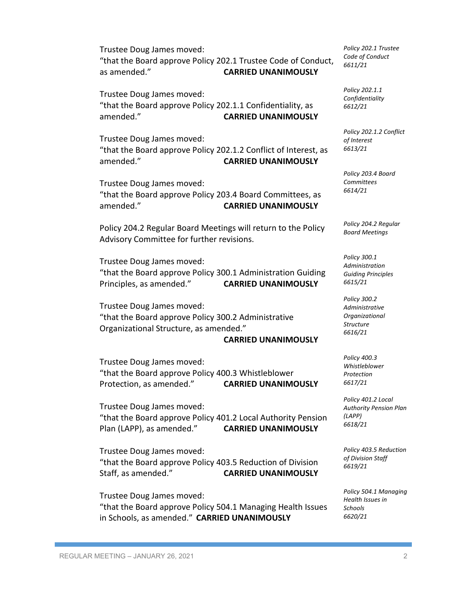Trustee Doug James moved: "that the Board approve Policy 202.1 Trustee Code of Conduct, as amended." **CARRIED UNANIMOUSLY**

Trustee Doug James moved: "that the Board approve Policy 202.1.1 Confidentiality, as amended." **CARRIED UNANIMOUSLY**

Trustee Doug James moved: "that the Board approve Policy 202.1.2 Conflict of Interest, as amended." **CARRIED UNANIMOUSLY**

Trustee Doug James moved: "that the Board approve Policy 203.4 Board Committees, as amended." **CARRIED UNANIMOUSLY**

Policy 204.2 Regular Board Meetings will return to the Policy Advisory Committee for further revisions.

Trustee Doug James moved: "that the Board approve Policy 300.1 Administration Guiding Principles, as amended." **CARRIED UNANIMOUSLY**

Trustee Doug James moved: "that the Board approve Policy 300.2 Administrative Organizational Structure, as amended."

#### **CARRIED UNANIMOUSLY**

Trustee Doug James moved: "that the Board approve Policy 400.3 Whistleblower Protection, as amended." **CARRIED UNANIMOUSLY**

Trustee Doug James moved: "that the Board approve Policy 401.2 Local Authority Pension Plan (LAPP), as amended." **CARRIED UNANIMOUSLY**

Trustee Doug James moved: "that the Board approve Policy 403.5 Reduction of Division Staff, as amended." **CARRIED UNANIMOUSLY**

Trustee Doug James moved: "that the Board approve Policy 504.1 Managing Health Issues in Schools, as amended." **CARRIED UNANIMOUSLY**

*Policy 202.1 Trustee Code of Conduct 6611/21*

*Policy 202.1.1 Confidentiality 6612/21*

*Policy 202.1.2 Conflict of Interest 6613/21*

*Policy 203.4 Board Committees 6614/21*

*Policy 204.2 Regular Board Meetings*

*Policy 300.1 Administration Guiding Principles 6615/21*

*Policy 300.2 Administrative Organizational Structure 6616/21*

*Policy 400.3 Whistleblower Protection 6617/21*

*Policy 401.2 Local Authority Pension Plan (LAPP) 6618/21*

*Policy 403.5 Reduction of Division Staff 6619/21*

*Policy 504.1 Managing Health Issues in Schools 6620/21*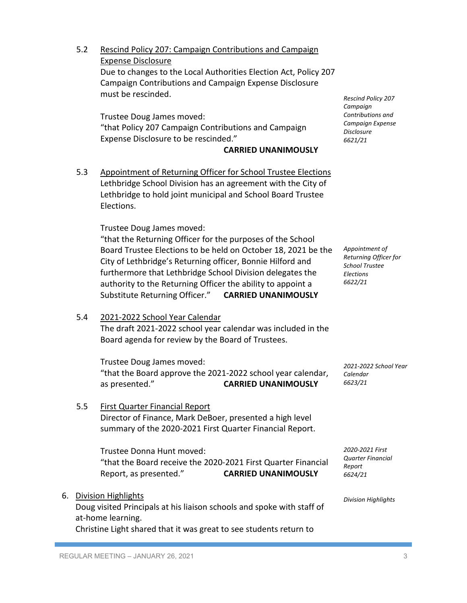5.2 Rescind Policy 207: Campaign Contributions and Campaign Expense Disclosure Due to changes to the Local Authorities Election Act, Policy 207 Campaign Contributions and Campaign Expense Disclosure must be rescinded.

Trustee Doug James moved: "that Policy 207 Campaign Contributions and Campaign Expense Disclosure to be rescinded."

### **CARRIED UNANIMOUSLY**

5.3 Appointment of Returning Officer for School Trustee Elections Lethbridge School Division has an agreement with the City of Lethbridge to hold joint municipal and School Board Trustee Elections.

Trustee Doug James moved:

"that the Returning Officer for the purposes of the School Board Trustee Elections to be held on October 18, 2021 be the City of Lethbridge's Returning officer, Bonnie Hilford and furthermore that Lethbridge School Division delegates the authority to the Returning Officer the ability to appoint a Substitute Returning Officer." **CARRIED UNANIMOUSLY**

*Appointment of Returning Officer for School Trustee Elections 6622/21*

*2021-2022 School Year* 

*Calendar 6623/21*

*Rescind Policy 207 Campaign Contributions and Campaign Expense Disclosure 6621/21*

5.4 2021-2022 School Year Calendar

The draft 2021-2022 school year calendar was included in the Board agenda for review by the Board of Trustees.

Trustee Doug James moved: "that the Board approve the 2021-2022 school year calendar, as presented." **CARRIED UNANIMOUSLY**

## 5.5 First Quarter Financial Report Director of Finance, Mark DeBoer, presented a high level summary of the 2020-2021 First Quarter Financial Report.

Trustee Donna Hunt moved: "that the Board receive the 2020-2021 First Quarter Financial Report, as presented." **CARRIED UNANIMOUSLY**

6. Division Highlights Doug visited Principals at his liaison schools and spoke with staff of

at-home learning.

Christine Light shared that it was great to see students return to

*2020-2021 First Quarter Financial Report 6624/21*

*Division Highlights*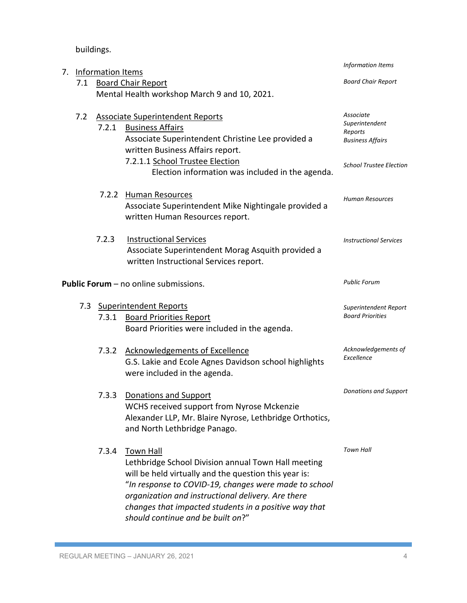buildings.

| 7. | <b>Information Items</b> |                               | Information Items                                                                                                                                                                                                                                                                                                                             |                                                                   |
|----|--------------------------|-------------------------------|-----------------------------------------------------------------------------------------------------------------------------------------------------------------------------------------------------------------------------------------------------------------------------------------------------------------------------------------------|-------------------------------------------------------------------|
|    | 7.1                      |                               | <b>Board Chair Report</b>                                                                                                                                                                                                                                                                                                                     | <b>Board Chair Report</b>                                         |
|    |                          |                               | Mental Health workshop March 9 and 10, 2021.                                                                                                                                                                                                                                                                                                  |                                                                   |
|    | 7.2                      | 7.2.1                         | <b>Associate Superintendent Reports</b><br><b>Business Affairs</b><br>Associate Superintendent Christine Lee provided a<br>written Business Affairs report.                                                                                                                                                                                   | Associate<br>Superintendent<br>Reports<br><b>Business Affairs</b> |
|    |                          |                               | 7.2.1.1 School Trustee Election<br>Election information was included in the agenda.                                                                                                                                                                                                                                                           | <b>School Trustee Election</b>                                    |
|    |                          |                               | 7.2.2 Human Resources<br>Associate Superintendent Mike Nightingale provided a<br>written Human Resources report.                                                                                                                                                                                                                              | <b>Human Resources</b>                                            |
|    |                          | 7.2.3                         | <b>Instructional Services</b><br>Associate Superintendent Morag Asquith provided a<br>written Instructional Services report.                                                                                                                                                                                                                  | <b>Instructional Services</b>                                     |
|    |                          |                               | Public Forum - no online submissions.                                                                                                                                                                                                                                                                                                         | <b>Public Forum</b>                                               |
|    | 7.3                      | <b>Superintendent Reports</b> |                                                                                                                                                                                                                                                                                                                                               | Superintendent Report                                             |
|    |                          | 7.3.1                         | <b>Board Priorities Report</b><br>Board Priorities were included in the agenda.                                                                                                                                                                                                                                                               | <b>Board Priorities</b>                                           |
|    |                          | 7.3.2                         | <b>Acknowledgements of Excellence</b><br>G.S. Lakie and Ecole Agnes Davidson school highlights<br>were included in the agenda.                                                                                                                                                                                                                | Acknowledgements of<br>Excellence                                 |
|    |                          | 7.3.3                         | Donations and Support<br>WCHS received support from Nyrose Mckenzie<br>Alexander LLP, Mr. Blaire Nyrose, Lethbridge Orthotics,<br>and North Lethbridge Panago.                                                                                                                                                                                | <b>Donations and Support</b>                                      |
|    |                          | 7.3.4                         | <b>Town Hall</b><br>Lethbridge School Division annual Town Hall meeting<br>will be held virtually and the question this year is:<br>"In response to COVID-19, changes were made to school<br>organization and instructional delivery. Are there<br>changes that impacted students in a positive way that<br>should continue and be built on?" | <b>Town Hall</b>                                                  |